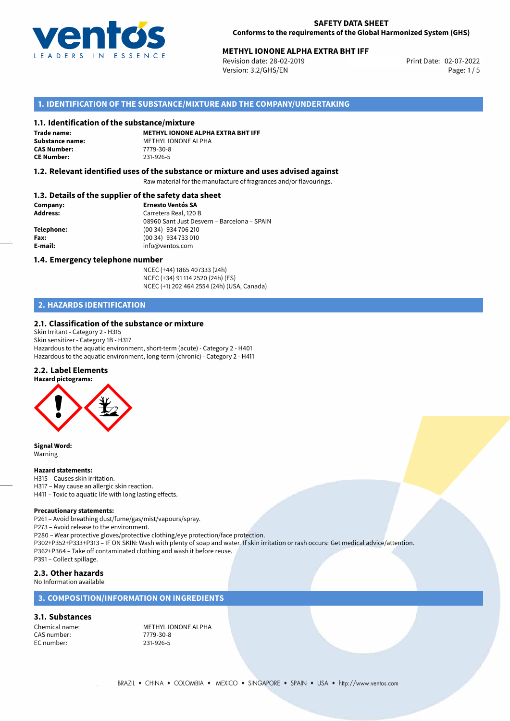

# **METHYL IONONE ALPHA EXTRA BHT IFF**<br>Revision date: 28-02-2019<br>Print Date: 02-07-2022

Revision date: 28-02-2019 Version: 3.2/GHS/EN Page: 1/5

# **1. IDENTIFICATION OF THE SUBSTANCE/MIXTURE AND THE COMPANY/UNDERTAKING**

#### **1.1. Identification of the substance/mixture**

**Trade name: CAS Number:** 7779-30-8<br> **CE Number:** 231-926-5 **CE Number:** 231-926-5

**METHYL IONONE ALPHA EXTRA BHT IFF Substance name:** METHYL IONONE ALPHA<br> **CAS Number:** 7779-30-8

#### **1.2. Relevant identified uses of the substance or mixture and uses advised against**

Raw material for the manufacture of fragrances and/or flavourings.

#### **1.3. Details of the supplier of the safety data sheet**

| Company:        | <b>Ernesto Ventós SA</b>                    |
|-----------------|---------------------------------------------|
| <b>Address:</b> | Carretera Real, 120 B                       |
|                 | 08960 Sant Just Desvern - Barcelona - SPAIN |
| Telephone:      | (00 34) 934 706 210                         |
| Fax:            | (00 34) 934 733 010                         |
| E-mail:         | info@ventos.com                             |
|                 |                                             |

#### **1.4. Emergency telephone number**

NCEC (+44) 1865 407333 (24h) NCEC (+34) 91 114 2520 (24h) (ES) NCEC (+1) 202 464 2554 (24h) (USA, Canada)

# **2. HAZARDS IDENTIFICATION**

#### **2.1. Classification of the substance or mixture**

Skin Irritant - Category 2 - H315 Skin sensitizer - Category 1B - H317 Hazardous to the aquatic environment, short-term (acute) - Category 2 - H401 Hazardous to the aquatic environment, long-term (chronic) - Category 2 - H411

#### **2.2. Label Elements**



**Signal Word:** Warning

#### **Hazard statements:**

- H315 Causes skin irritation.
- H317 May cause an allergic skin reaction.
- H411 Toxic to aquatic life with long lasting effects.

#### **Precautionary statements:**

P261 – Avoid breathing dust/fume/gas/mist/vapours/spray.

P273 – Avoid release to the environment.

P280 – Wear protective gloves/protective clothing/eye protection/face protection. P302+P352+P333+P313 – IF ON SKIN: Wash with plenty of soap and water. If skin irritation or rash occurs: Get medical advice/attention. P362+P364 – Take off contaminated clothing and wash it before reuse. P391 – Collect spillage.

### **2.3. Other hazards**

#### No Information available

#### **3. COMPOSITION/INFORMATION ON INGREDIENTS**

### **3.1. Substances**

CAS number: 7779-30-8<br>
FC number: 231-926-5 EC number:

Chemical name: METHYL IONONE ALPHA<br>
CAS number: 7779-30-8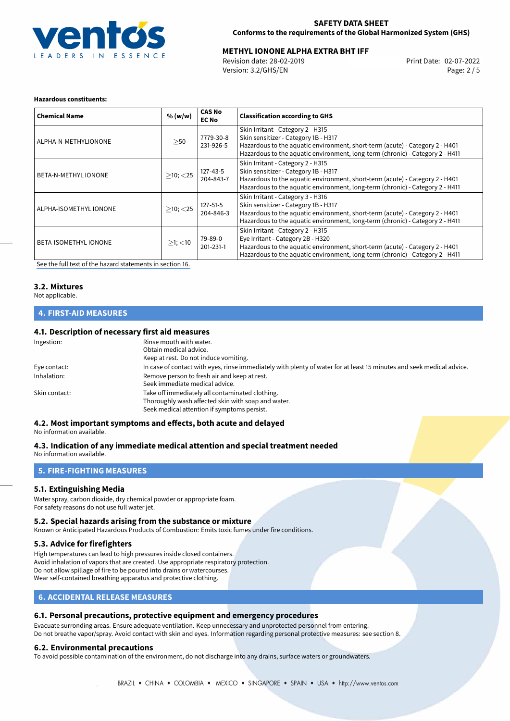

# **METHYL IONONE ALPHA EXTRA BHT IFF**<br>Revision date: 28-02-2019<br>Print Date: 02-07-2022

Revision date: 28-02-2019 Version: 3.2/GHS/EN Page: 2 / 5

#### **Hazardous constituents:**

| <b>Chemical Name</b>        | % (w/w)        | <b>CAS No</b><br><b>EC No</b> | <b>Classification according to GHS</b>                                                                                                                                                                                                     |
|-----------------------------|----------------|-------------------------------|--------------------------------------------------------------------------------------------------------------------------------------------------------------------------------------------------------------------------------------------|
| ALPHA-N-METHYLIONONE        | >50            | 7779-30-8<br>231-926-5        | Skin Irritant - Category 2 - H315<br>Skin sensitizer - Category 1B - H317<br>Hazardous to the aquatic environment, short-term (acute) - Category 2 - H401<br>Hazardous to the aquatic environment, long-term (chronic) - Category 2 - H411 |
| <b>BETA-N-METHYL IONONE</b> | $>10$ ; $<$ 25 | 127-43-5<br>204-843-7         | Skin Irritant - Category 2 - H315<br>Skin sensitizer - Category 1B - H317<br>Hazardous to the aquatic environment, short-term (acute) - Category 2 - H401<br>Hazardous to the aquatic environment, long-term (chronic) - Category 2 - H411 |
| ALPHA-ISOMETHYL IONONE      | $>10$ ; $<$ 25 | 127-51-5<br>204-846-3         | Skin Irritant - Category 3 - H316<br>Skin sensitizer - Category 1B - H317<br>Hazardous to the aquatic environment, short-term (acute) - Category 2 - H401<br>Hazardous to the aquatic environment, long-term (chronic) - Category 2 - H411 |
| BETA-ISOMETHYL IONONE       | $>1$ ; <10     | 79-89-0<br>201-231-1          | Skin Irritant - Category 2 - H315<br>Eye Irritant - Category 2B - H320<br>Hazardous to the aquatic environment, short-term (acute) - Category 2 - H401<br>Hazardous to the aquatic environment, long-term (chronic) - Category 2 - H411    |

[See the full text of the hazard statements in section 16.](#page-4-0)

# **3.2. Mixtures**

#### Not applicable.

### **4. FIRST-AID MEASURES**

#### **4.1. Description of necessary first aid measures**

| Ingestion:    | Rinse mouth with water.<br>Obtain medical advice.<br>Keep at rest. Do not induce vomiting.                                                           |
|---------------|------------------------------------------------------------------------------------------------------------------------------------------------------|
| Eye contact:  | In case of contact with eyes, rinse immediately with plenty of water for at least 15 minutes and seek medical advice.                                |
| Inhalation:   | Remove person to fresh air and keep at rest.<br>Seek immediate medical advice.                                                                       |
| Skin contact: | Take off immediately all contaminated clothing.<br>Thoroughly wash affected skin with soap and water.<br>Seek medical attention if symptoms persist. |

# **4.2. Most important symptoms and effects, both acute and delayed**

No information available.

# **4.3. Indication of any immediate medical attention and special treatment needed**

No information available.

# **5. FIRE-FIGHTING MEASURES**

#### **5.1. Extinguishing Media**

Water spray, carbon dioxide, dry chemical powder or appropriate foam. For safety reasons do not use full water jet.

#### **5.2. Special hazards arising from the substance or mixture**

Known or Anticipated Hazardous Products of Combustion: Emits toxic fumes under fire conditions.

#### **5.3. Advice for firefighters**

High temperatures can lead to high pressures inside closed containers. Avoid inhalation of vapors that are created. Use appropriate respiratory protection. Do not allow spillage of fire to be poured into drains or watercourses. Wear self-contained breathing apparatus and protective clothing.

# **6. ACCIDENTAL RELEASE MEASURES**

# **6.1. Personal precautions, protective equipment and emergency procedures**

Evacuate surronding areas. Ensure adequate ventilation. Keep unnecessary and unprotected personnel from entering. Do not breathe vapor/spray. Avoid contact with skin and eyes. Information regarding personal protective measures: see section 8.

# **6.2. Environmental precautions**

To avoid possible contamination of the environment, do not discharge into any drains, surface waters or groundwaters.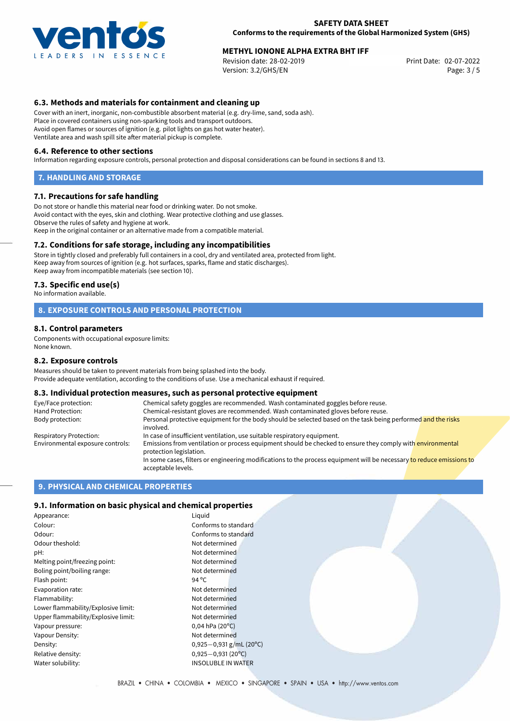

# **METHYL IONONE ALPHA EXTRA BHT IFF**<br>Revision date: 28-02-2019<br>Print Date: 02-07-2022

Revision date: 28-02-2019 Version: 3.2/GHS/EN Page: 3 / 5

# **6.3. Methods and materials for containment and cleaning up**

Cover with an inert, inorganic, non-combustible absorbent material (e.g. dry-lime, sand, soda ash). Place in covered containers using non-sparking tools and transport outdoors. Avoid open flames or sources of ignition (e.g. pilot lights on gas hot water heater). Ventilate area and wash spill site after material pickup is complete.

#### **6.4. Reference to other sections**

Information regarding exposure controls, personal protection and disposal considerations can be found in sections 8 and 13.

#### **7. HANDLING AND STORAGE**

#### **7.1. Precautions for safe handling**

Do not store or handle this material near food or drinking water. Do not smoke. Avoid contact with the eyes, skin and clothing. Wear protective clothing and use glasses. Observe the rules of safety and hygiene at work. Keep in the original container or an alternative made from a compatible material.

#### **7.2. Conditions for safe storage, including any incompatibilities**

Store in tightly closed and preferably full containers in a cool, dry and ventilated area, protected from light. Keep away from sources of ignition (e.g. hot surfaces, sparks, flame and static discharges). Keep away from incompatible materials (see section 10).

#### **7.3. Specific end use(s)**

No information available.

#### **8. EXPOSURE CONTROLS AND PERSONAL PROTECTION**

#### **8.1. Control parameters**

Components with occupational exposure limits: None known.

#### **8.2. Exposure controls**

Measures should be taken to prevent materials from being splashed into the body. Provide adequate ventilation, according to the conditions of use. Use a mechanical exhaust if required.

#### **8.3. Individual protection measures, such as personal protective equipment**

| Eye/Face protection:             | Chemical safety goggles are recommended. Wash contaminated goggles before reuse.                                                            |
|----------------------------------|---------------------------------------------------------------------------------------------------------------------------------------------|
| Hand Protection:                 | Chemical-resistant gloves are recommended. Wash contaminated gloves before reuse.                                                           |
| Body protection:                 | Personal protective equipment for the body should be selected based on the task being performed and the risks<br>involved.                  |
| Respiratory Protection:          | In case of insufficient ventilation, use suitable respiratory equipment.                                                                    |
| Environmental exposure controls: | Emissions from ventilation or process equipment should be checked to ensure they comply with environmental<br>protection legislation.       |
|                                  | In some cases, filters or engineering modifications to the process equipment will be necessary to reduce emissions to<br>acceptable levels. |

## **9. PHYSICAL AND CHEMICAL PROPERTIES**

#### **9.1. Information on basic physical and chemical properties**

| Appearance:                         | Liquid                       |
|-------------------------------------|------------------------------|
| Colour:                             | Conforms to standard         |
| Odour:                              | Conforms to standard         |
| Odour theshold:                     | Not determined               |
| pH:                                 | Not determined               |
| Melting point/freezing point:       | Not determined               |
| Boling point/boiling range:         | Not determined               |
| Flash point:                        | 94 $^{\circ}$ C              |
| Evaporation rate:                   | Not determined               |
| Flammability:                       | Not determined               |
| Lower flammability/Explosive limit: | Not determined               |
| Upper flammability/Explosive limit: | Not determined               |
| Vapour pressure:                    | $0,04$ hPa (20 $^{\circ}$ C) |
| Vapour Density:                     | Not determined               |
| Density:                            | 0,925-0,931 g/mL (20°C)      |
| Relative density:                   | $0,925 - 0,931(20°C)$        |
| Water solubility:                   | <b>INSOLUBLE IN WATER</b>    |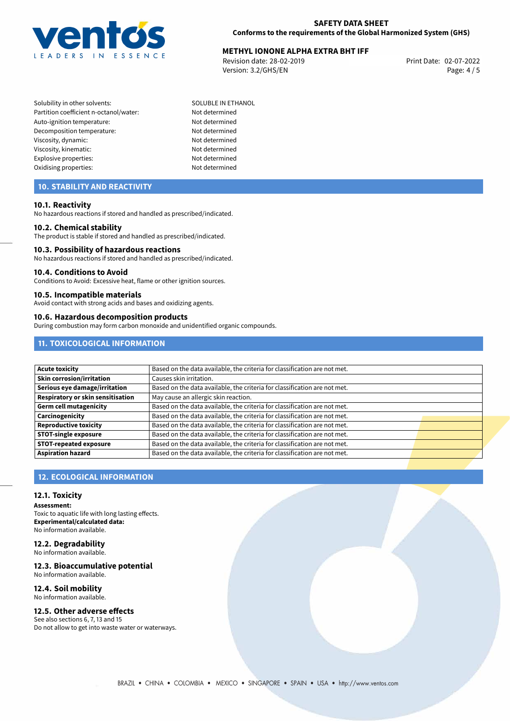

# **METHYL IONONE ALPHA EXTRA BHT IFF**<br>Revision date: 28-02-2019<br>Print Date: 02-07-2022

Revision date: 28-02-2019 Version: 3.2/GHS/EN Page: 4 / 5

Solubility in other solvents: SOLUBLE IN ETHANOL Partition coefficient n-octanol/water: Not determined Auto-ignition temperature: Not determined Decomposition temperature: Not determined Viscosity, dynamic: Not determined Viscosity, kinematic: Not determined Explosive properties: Not determined Oxidising properties: Not determined

# **10. STABILITY AND REACTIVITY**

#### **10.1. Reactivity**

No hazardous reactions if stored and handled as prescribed/indicated.

#### **10.2. Chemical stability**

The product is stable if stored and handled as prescribed/indicated.

#### **10.3. Possibility of hazardous reactions**

No hazardous reactions if stored and handled as prescribed/indicated.

#### **10.4. Conditions to Avoid**

Conditions to Avoid: Excessive heat, flame or other ignition sources.

#### **10.5. Incompatible materials**

Avoid contact with strong acids and bases and oxidizing agents.

#### **10.6. Hazardous decomposition products**

During combustion may form carbon monoxide and unidentified organic compounds.

# **11. TOXICOLOGICAL INFORMATION**

| Acute toxicity                    | Based on the data available, the criteria for classification are not met. |  |
|-----------------------------------|---------------------------------------------------------------------------|--|
| Skin corrosion/irritation         | Causes skin irritation.                                                   |  |
| Serious eye damage/irritation     | Based on the data available, the criteria for classification are not met. |  |
| Respiratory or skin sensitisation | May cause an allergic skin reaction.                                      |  |
| Germ cell mutagenicity            | Based on the data available, the criteria for classification are not met. |  |
| <b>Carcinogenicity</b>            | Based on the data available, the criteria for classification are not met. |  |
| Reproductive toxicity             | Based on the data available, the criteria for classification are not met. |  |
| <b>STOT-single exposure</b>       | Based on the data available, the criteria for classification are not met. |  |
| <b>STOT-repeated exposure</b>     | Based on the data available, the criteria for classification are not met. |  |
| Aspiration hazard                 | Based on the data available, the criteria for classification are not met. |  |

# **12. ECOLOGICAL INFORMATION**

#### **12.1. Toxicity**

**Assessment:** Toxic to aquatic life with long lasting effects. **Experimental/calculated data:** No information available.

#### **12.2. Degradability** No information available.

#### **12.3. Bioaccumulative potential**

No information available.

#### **12.4. Soil mobility** No information available.

**12.5. Other adverse effects**

# See also sections 6, 7, 13 and 15

Do not allow to get into waste water or waterways.